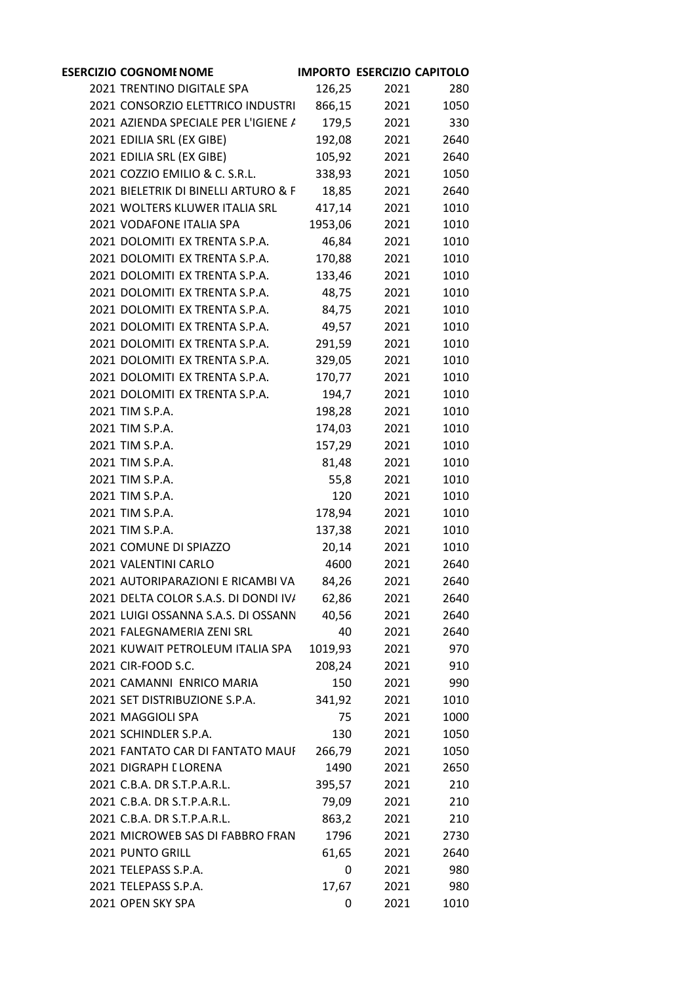| <b>ESERCIZIO COGNOME NOME</b>        |         | <b>IMPORTO ESERCIZIO CAPITOLO</b> |      |
|--------------------------------------|---------|-----------------------------------|------|
| 2021 TRENTINO DIGITALE SPA           | 126,25  | 2021                              | 280  |
| 2021 CONSORZIO ELETTRICO INDUSTRI    | 866,15  | 2021                              | 1050 |
| 2021 AZIENDA SPECIALE PER L'IGIENE / | 179,5   | 2021                              | 330  |
| 2021 EDILIA SRL (EX GIBE)            | 192,08  | 2021                              | 2640 |
| 2021 EDILIA SRL (EX GIBE)            | 105,92  | 2021                              | 2640 |
| 2021 COZZIO EMILIO & C. S.R.L.       | 338,93  | 2021                              | 1050 |
| 2021 BIELETRIK DI BINELLI ARTURO & F | 18,85   | 2021                              | 2640 |
| 2021 WOLTERS KLUWER ITALIA SRL       | 417,14  | 2021                              | 1010 |
| 2021 VODAFONE ITALIA SPA             | 1953,06 | 2021                              | 1010 |
| 2021 DOLOMITI EX TRENTA S.P.A.       | 46,84   | 2021                              | 1010 |
| 2021 DOLOMITI EX TRENTA S.P.A.       | 170,88  | 2021                              | 1010 |
| 2021 DOLOMITI EX TRENTA S.P.A.       | 133,46  | 2021                              | 1010 |
| 2021 DOLOMITI EX TRENTA S.P.A.       | 48,75   | 2021                              | 1010 |
| 2021 DOLOMITI EX TRENTA S.P.A.       | 84,75   | 2021                              | 1010 |
| 2021 DOLOMITI EX TRENTA S.P.A.       | 49,57   | 2021                              | 1010 |
| 2021 DOLOMITI EX TRENTA S.P.A.       | 291,59  | 2021                              | 1010 |
| 2021 DOLOMITI EX TRENTA S.P.A.       | 329,05  | 2021                              | 1010 |
| 2021 DOLOMITI EX TRENTA S.P.A.       | 170,77  | 2021                              | 1010 |
| 2021 DOLOMITI EX TRENTA S.P.A.       | 194,7   | 2021                              | 1010 |
| 2021 TIM S.P.A.                      | 198,28  | 2021                              | 1010 |
| 2021 TIM S.P.A.                      | 174,03  | 2021                              | 1010 |
| 2021 TIM S.P.A.                      | 157,29  | 2021                              | 1010 |
| 2021 TIM S.P.A.                      | 81,48   | 2021                              | 1010 |
| 2021 TIM S.P.A.                      | 55,8    | 2021                              | 1010 |
| 2021 TIM S.P.A.                      | 120     | 2021                              | 1010 |
| 2021 TIM S.P.A.                      | 178,94  | 2021                              | 1010 |
| 2021 TIM S.P.A.                      | 137,38  | 2021                              | 1010 |
| 2021 COMUNE DI SPIAZZO               | 20,14   | 2021                              | 1010 |
| 2021 VALENTINI CARLO                 | 4600    | 2021                              | 2640 |
| 2021 AUTORIPARAZIONI E RICAMBI VA    | 84,26   | 2021                              | 2640 |
| 2021 DELTA COLOR S.A.S. DI DONDI IV/ | 62,86   | 2021                              | 2640 |
| 2021 LUIGI OSSANNA S.A.S. DI OSSANN  | 40,56   | 2021                              | 2640 |
| 2021 FALEGNAMERIA ZENI SRL           | 40      | 2021                              | 2640 |
| 2021 KUWAIT PETROLEUM ITALIA SPA     | 1019,93 | 2021                              | 970  |
| 2021 CIR-FOOD S.C.                   | 208,24  | 2021                              | 910  |
| 2021 CAMANNI ENRICO MARIA            | 150     | 2021                              | 990  |
| 2021 SET DISTRIBUZIONE S.P.A.        | 341,92  | 2021                              | 1010 |
| 2021 MAGGIOLI SPA                    | 75      | 2021                              | 1000 |
| 2021 SCHINDLER S.P.A.                | 130     | 2021                              | 1050 |
| 2021 FANTATO CAR DI FANTATO MAUI     | 266,79  | 2021                              | 1050 |
| 2021 DIGRAPH LLORENA                 | 1490    | 2021                              | 2650 |
| 2021 C.B.A. DR S.T.P.A.R.L.          | 395,57  | 2021                              | 210  |
| 2021 C.B.A. DR S.T.P.A.R.L.          | 79,09   | 2021                              | 210  |
| 2021 C.B.A. DR S.T.P.A.R.L.          | 863,2   | 2021                              | 210  |
| 2021 MICROWEB SAS DI FABBRO FRAN     | 1796    | 2021                              | 2730 |
| 2021 PUNTO GRILL                     | 61,65   | 2021                              | 2640 |
| 2021 TELEPASS S.P.A.                 | 0       | 2021                              | 980  |
| 2021 TELEPASS S.P.A.                 | 17,67   | 2021                              | 980  |
| 2021 OPEN SKY SPA                    | 0       | 2021                              | 1010 |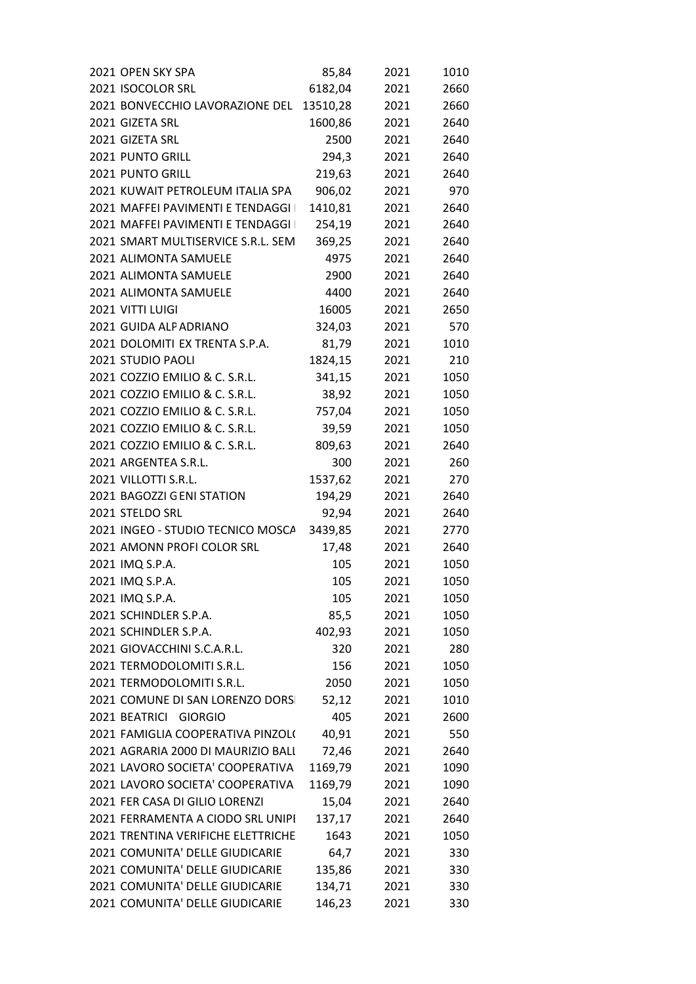| 2021 OPEN SKY SPA<br>2021 ISOCOLOR SRL        | 85,84   | 2021       | 1010     |  |
|-----------------------------------------------|---------|------------|----------|--|
| 2021 ISOCOLOR SRL                             | 6182,04 | 2021       | 2660     |  |
| 2021 BONVECCHIO LAVORAZIONE DEL 13510,28 2021 |         |            | 2660     |  |
| 2021 GIZETA SRL                               | 1600,86 | 2021       | 2640     |  |
| 2021 GIZETA SRL                               | 2500    | 2021       | 2640     |  |
| 2021 PUNTO GRILL                              | 294,3   | 2021       | 2640     |  |
| 2021 PUNTO GRILL                              | 219,63  | 2021       | 2640     |  |
| 2021 KUWAIT PETROLEUM ITALIA SPA 906,02 2021  |         |            | 970      |  |
| 2021 MAFFEI PAVIMENTI E TENDAGGI              | 1410,81 | 2021       | 2640     |  |
| 2021 MAFFEI PAVIMENTI E TENDAGGI I            | 254,19  | 2021       | 2640     |  |
| 2021 SMART MULTISERVICE S.R.L. SEM            | 369,25  | 2021       | 2640     |  |
| 2021 ALIMONTA SAMUELE                         | 4975    | 2021       | 2640     |  |
| 2021 ALIMONTA SAMUELE                         | 2900    | 2021       | 2640     |  |
| 2021 ALIMONTA SAMUELE                         | 4400    | 2021       | 2640     |  |
| 2021 VITTI LUIGI                              | 16005   | 2021       | 2650     |  |
| 2021 GUIDA ALPADRIANO                         | 324,03  |            | 2021 570 |  |
| 2021 DOLOMITI EX TRENTA S.P.A.                | 81,79   | 2021       | 1010     |  |
| 2021 STUDIO PAOLI                             | 1824,15 | 2021       | 210      |  |
| 2021 COZZIO EMILIO & C. S.R.L. 341,15         |         | 2021       | 1050     |  |
| 2021 COZZIO EMILIO & C. S.R.L.                |         | 38,92 2021 | 1050     |  |
| 2021 COZZIO EMILIO & C. S.R.L. 757,04 2021    |         |            | 1050     |  |
| 2021 COZZIO EMILIO & C. S.R.L.                | 39,59   | 2021       | 1050     |  |
| 2021 COZZIO EMILIO & C. S.R.L. 809,63         |         | 2021       | 2640     |  |
| 2021 ARGENTEA S.R.L.                          | 300     | 2021       | 260      |  |
| 2021 VILLOTTI S.R.L.                          | 1537,62 | 2021       | 270      |  |
| 2021 BAGOZZI GENI STATION                     | 194,29  | 2021       | 2640     |  |
| 2021 STELDO SRL                               | 92,94   | 2021       | 2640     |  |
| 2021 INGEO - STUDIO TECNICO MOSCA 3439,85     |         | 2021       | 2770     |  |
| 2021 AMONN PROFI COLOR SRL                    | 17,48   | 2021       | 2640     |  |
| 2021 IMQ S.P.A.                               | 105     | 2021       | 1050     |  |
| 2021 IMQ S.P.A.                               | 105     | 2021       | 1050     |  |
| 2021 IMQ S.P.A.                               | 105     | 2021       | 1050     |  |
| 2021 SCHINDLER S.P.A.                         | 85,5    | 2021       | 1050     |  |
| 2021 SCHINDLER S.P.A.                         | 402,93  | 2021       | 1050     |  |
| 2021 GIOVACCHINI S.C.A.R.L.                   | 320     | 2021       | 280      |  |
| 2021 TERMODOLOMITI S.R.L.                     | 156     | 2021       | 1050     |  |
| 2021 TERMODOLOMITI S.R.L.                     | 2050    | 2021       | 1050     |  |
| 2021 COMUNE DI SAN LORENZO DORS               | 52,12   | 2021       | 1010     |  |
| 2021 BEATRICI GIORGIO                         | 405     | 2021       | 2600     |  |
| 2021 FAMIGLIA COOPERATIVA PINZOLI             | 40,91   | 2021       | 550      |  |
| 2021 AGRARIA 2000 DI MAURIZIO BALI            | 72,46   | 2021       | 2640     |  |
| 2021 LAVORO SOCIETA' COOPERATIVA              | 1169,79 | 2021       | 1090     |  |
| 2021 LAVORO SOCIETA' COOPERATIVA              | 1169,79 | 2021       | 1090     |  |
| 2021 FER CASA DI GILIO LORENZI                | 15,04   | 2021       | 2640     |  |
| 2021 FERRAMENTA A CIODO SRL UNIPI             | 137,17  | 2021       | 2640     |  |
| 2021 TRENTINA VERIFICHE ELETTRICHE            | 1643    | 2021       | 1050     |  |
| 2021 COMUNITA' DELLE GIUDICARIE               | 64,7    | 2021       | 330      |  |
| 2021 COMUNITA' DELLE GIUDICARIE               | 135,86  | 2021       | 330      |  |
| 2021 COMUNITA' DELLE GIUDICARIE               | 134,71  | 2021       | 330      |  |
| 2021 COMUNITA' DELLE GIUDICARIE               | 146,23  | 2021       | 330      |  |
|                                               |         |            |          |  |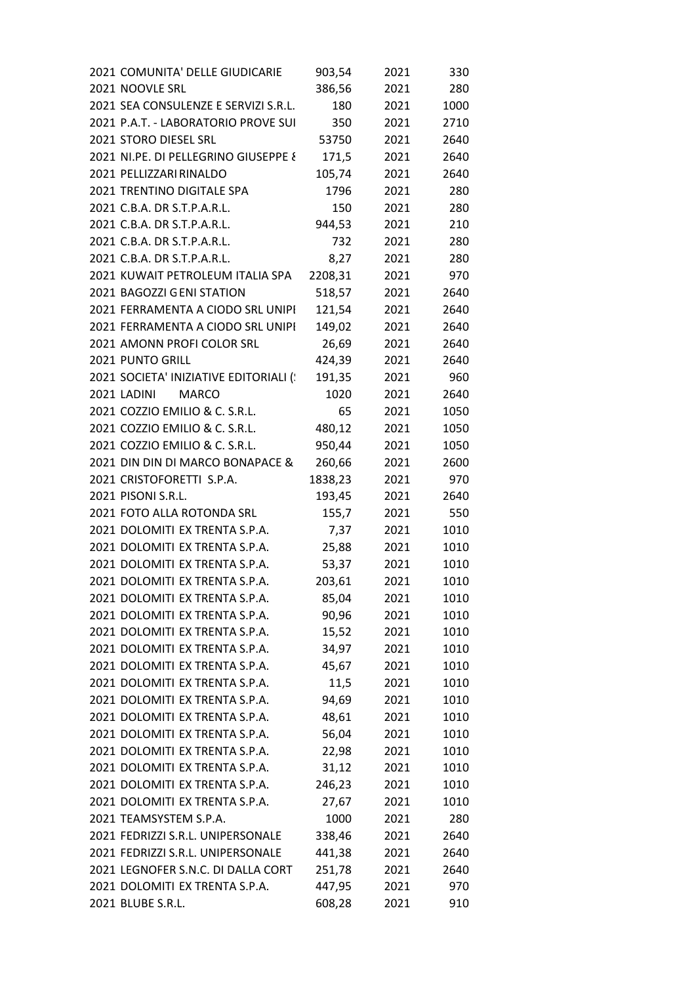| 2021 NOOVLE SRL<br>386,56<br>2021<br>280<br>2021 SEA CONSULENZE E SERVIZI S.R.L.<br>180<br>1000<br>2021<br>2021 P.A.T. - LABORATORIO PROVE SUI<br>2710<br>350<br>2021<br>2640<br>2021 STORO DIESEL SRL<br>53750<br>2021<br>2021 NI.PE. DI PELLEGRINO GIUSEPPE {<br>171,5<br>2021<br>2640<br>2021 PELLIZZARI RINALDO<br>105,74<br>2021<br>2640<br>2021 TRENTINO DIGITALE SPA<br>280<br>1796<br>2021<br>2021 C.B.A. DR S.T.P.A.R.L.<br>150<br>2021<br>280<br>2021 C.B.A. DR S.T.P.A.R.L.<br>944,53<br>210<br>2021<br>2021 C.B.A. DR S.T.P.A.R.L.<br>732<br>280<br>2021<br>2021 C.B.A. DR S.T.P.A.R.L.<br>8,27<br>2021<br>280<br>2021 KUWAIT PETROLEUM ITALIA SPA<br>2208,31<br>2021<br>970<br>2021 BAGOZZI GENI STATION<br>518,57<br>2021<br>2640<br>2021 FERRAMENTA A CIODO SRL UNIPI<br>121,54<br>2640<br>2021<br>2021 FERRAMENTA A CIODO SRL UNIPI<br>149,02<br>2021<br>2640<br>2021 AMONN PROFI COLOR SRL<br>26,69<br>2021<br>2640<br>2021 PUNTO GRILL<br>424,39<br>2640<br>2021<br>2021 SOCIETA' INIZIATIVE EDITORIALI (<br>191,35<br>2021<br>960<br>2021 LADINI<br><b>MARCO</b><br>1020<br>2640<br>2021<br>2021 COZZIO EMILIO & C. S.R.L.<br>65<br>2021<br>1050<br>2021 COZZIO EMILIO & C. S.R.L.<br>480,12<br>1050<br>2021<br>2021 COZZIO EMILIO & C. S.R.L.<br>950,44<br>1050<br>2021<br>2021 DIN DIN DI MARCO BONAPACE &<br>260,66<br>2021<br>2600<br>2021 CRISTOFORETTI S.P.A.<br>1838,23<br>2021<br>970<br>2021 PISONI S.R.L.<br>193,45<br>2021<br>2640<br>2021 FOTO ALLA ROTONDA SRL<br>155,7<br>550<br>2021<br>2021 DOLOMITI EX TRENTA S.P.A.<br>1010<br>7,37<br>2021<br>2021 DOLOMITI EX TRENTA S.P.A.<br>25,88<br>1010<br>2021<br>2021 DOLOMITI EX TRENTA S.P.A.<br>53,37<br>2021<br>1010<br>2021 DOLOMITI EX TRENTA S.P.A.<br>1010<br>203,61<br>2021<br>2021 DOLOMITI EX TRENTA S.P.A.<br>1010<br>85,04<br>2021<br>2021 DOLOMITI EX TRENTA S.P.A.<br>1010<br>90,96<br>2021<br>2021 DOLOMITI EX TRENTA S.P.A.<br>15,52<br>1010<br>2021<br>2021 DOLOMITI EX TRENTA S.P.A.<br>34,97<br>1010<br>2021<br>2021 DOLOMITI EX TRENTA S.P.A.<br>45,67<br>1010<br>2021<br>2021 DOLOMITI EX TRENTA S.P.A.<br>11,5<br>2021<br>1010<br>2021 DOLOMITI EX TRENTA S.P.A.<br>94,69<br>2021<br>1010<br>2021 DOLOMITI EX TRENTA S.P.A.<br>48,61<br>2021<br>1010<br>2021 DOLOMITI EX TRENTA S.P.A.<br>56,04<br>2021<br>1010<br>2021 DOLOMITI EX TRENTA S.P.A.<br>1010<br>22,98<br>2021<br>2021 DOLOMITI EX TRENTA S.P.A.<br>31,12<br>2021<br>1010<br>2021 DOLOMITI EX TRENTA S.P.A.<br>246,23<br>1010<br>2021<br>2021 DOLOMITI EX TRENTA S.P.A.<br>27,67<br>1010<br>2021<br>2021 TEAMSYSTEM S.P.A.<br>1000<br>2021<br>280<br>2021 FEDRIZZI S.R.L. UNIPERSONALE<br>338,46<br>2021<br>2640<br>2021 FEDRIZZI S.R.L. UNIPERSONALE<br>441,38<br>2021<br>2640<br>2021 LEGNOFER S.N.C. DI DALLA CORT<br>251,78<br>2640<br>2021<br>2021 DOLOMITI EX TRENTA S.P.A.<br>447,95<br>970<br>2021<br>2021 BLUBE S.R.L.<br>608,28<br>2021<br>910 | 2021 COMUNITA' DELLE GIUDICARIE | 903,54 | 2021 | 330 |
|---------------------------------------------------------------------------------------------------------------------------------------------------------------------------------------------------------------------------------------------------------------------------------------------------------------------------------------------------------------------------------------------------------------------------------------------------------------------------------------------------------------------------------------------------------------------------------------------------------------------------------------------------------------------------------------------------------------------------------------------------------------------------------------------------------------------------------------------------------------------------------------------------------------------------------------------------------------------------------------------------------------------------------------------------------------------------------------------------------------------------------------------------------------------------------------------------------------------------------------------------------------------------------------------------------------------------------------------------------------------------------------------------------------------------------------------------------------------------------------------------------------------------------------------------------------------------------------------------------------------------------------------------------------------------------------------------------------------------------------------------------------------------------------------------------------------------------------------------------------------------------------------------------------------------------------------------------------------------------------------------------------------------------------------------------------------------------------------------------------------------------------------------------------------------------------------------------------------------------------------------------------------------------------------------------------------------------------------------------------------------------------------------------------------------------------------------------------------------------------------------------------------------------------------------------------------------------------------------------------------------------------------------------------------------------------------------------------------------------------------------------------------------------------------------------------------------------------------------------------------------------------------------------------------------|---------------------------------|--------|------|-----|
|                                                                                                                                                                                                                                                                                                                                                                                                                                                                                                                                                                                                                                                                                                                                                                                                                                                                                                                                                                                                                                                                                                                                                                                                                                                                                                                                                                                                                                                                                                                                                                                                                                                                                                                                                                                                                                                                                                                                                                                                                                                                                                                                                                                                                                                                                                                                                                                                                                                                                                                                                                                                                                                                                                                                                                                                                                                                                                                           |                                 |        |      |     |
|                                                                                                                                                                                                                                                                                                                                                                                                                                                                                                                                                                                                                                                                                                                                                                                                                                                                                                                                                                                                                                                                                                                                                                                                                                                                                                                                                                                                                                                                                                                                                                                                                                                                                                                                                                                                                                                                                                                                                                                                                                                                                                                                                                                                                                                                                                                                                                                                                                                                                                                                                                                                                                                                                                                                                                                                                                                                                                                           |                                 |        |      |     |
|                                                                                                                                                                                                                                                                                                                                                                                                                                                                                                                                                                                                                                                                                                                                                                                                                                                                                                                                                                                                                                                                                                                                                                                                                                                                                                                                                                                                                                                                                                                                                                                                                                                                                                                                                                                                                                                                                                                                                                                                                                                                                                                                                                                                                                                                                                                                                                                                                                                                                                                                                                                                                                                                                                                                                                                                                                                                                                                           |                                 |        |      |     |
|                                                                                                                                                                                                                                                                                                                                                                                                                                                                                                                                                                                                                                                                                                                                                                                                                                                                                                                                                                                                                                                                                                                                                                                                                                                                                                                                                                                                                                                                                                                                                                                                                                                                                                                                                                                                                                                                                                                                                                                                                                                                                                                                                                                                                                                                                                                                                                                                                                                                                                                                                                                                                                                                                                                                                                                                                                                                                                                           |                                 |        |      |     |
|                                                                                                                                                                                                                                                                                                                                                                                                                                                                                                                                                                                                                                                                                                                                                                                                                                                                                                                                                                                                                                                                                                                                                                                                                                                                                                                                                                                                                                                                                                                                                                                                                                                                                                                                                                                                                                                                                                                                                                                                                                                                                                                                                                                                                                                                                                                                                                                                                                                                                                                                                                                                                                                                                                                                                                                                                                                                                                                           |                                 |        |      |     |
|                                                                                                                                                                                                                                                                                                                                                                                                                                                                                                                                                                                                                                                                                                                                                                                                                                                                                                                                                                                                                                                                                                                                                                                                                                                                                                                                                                                                                                                                                                                                                                                                                                                                                                                                                                                                                                                                                                                                                                                                                                                                                                                                                                                                                                                                                                                                                                                                                                                                                                                                                                                                                                                                                                                                                                                                                                                                                                                           |                                 |        |      |     |
|                                                                                                                                                                                                                                                                                                                                                                                                                                                                                                                                                                                                                                                                                                                                                                                                                                                                                                                                                                                                                                                                                                                                                                                                                                                                                                                                                                                                                                                                                                                                                                                                                                                                                                                                                                                                                                                                                                                                                                                                                                                                                                                                                                                                                                                                                                                                                                                                                                                                                                                                                                                                                                                                                                                                                                                                                                                                                                                           |                                 |        |      |     |
|                                                                                                                                                                                                                                                                                                                                                                                                                                                                                                                                                                                                                                                                                                                                                                                                                                                                                                                                                                                                                                                                                                                                                                                                                                                                                                                                                                                                                                                                                                                                                                                                                                                                                                                                                                                                                                                                                                                                                                                                                                                                                                                                                                                                                                                                                                                                                                                                                                                                                                                                                                                                                                                                                                                                                                                                                                                                                                                           |                                 |        |      |     |
|                                                                                                                                                                                                                                                                                                                                                                                                                                                                                                                                                                                                                                                                                                                                                                                                                                                                                                                                                                                                                                                                                                                                                                                                                                                                                                                                                                                                                                                                                                                                                                                                                                                                                                                                                                                                                                                                                                                                                                                                                                                                                                                                                                                                                                                                                                                                                                                                                                                                                                                                                                                                                                                                                                                                                                                                                                                                                                                           |                                 |        |      |     |
|                                                                                                                                                                                                                                                                                                                                                                                                                                                                                                                                                                                                                                                                                                                                                                                                                                                                                                                                                                                                                                                                                                                                                                                                                                                                                                                                                                                                                                                                                                                                                                                                                                                                                                                                                                                                                                                                                                                                                                                                                                                                                                                                                                                                                                                                                                                                                                                                                                                                                                                                                                                                                                                                                                                                                                                                                                                                                                                           |                                 |        |      |     |
|                                                                                                                                                                                                                                                                                                                                                                                                                                                                                                                                                                                                                                                                                                                                                                                                                                                                                                                                                                                                                                                                                                                                                                                                                                                                                                                                                                                                                                                                                                                                                                                                                                                                                                                                                                                                                                                                                                                                                                                                                                                                                                                                                                                                                                                                                                                                                                                                                                                                                                                                                                                                                                                                                                                                                                                                                                                                                                                           |                                 |        |      |     |
|                                                                                                                                                                                                                                                                                                                                                                                                                                                                                                                                                                                                                                                                                                                                                                                                                                                                                                                                                                                                                                                                                                                                                                                                                                                                                                                                                                                                                                                                                                                                                                                                                                                                                                                                                                                                                                                                                                                                                                                                                                                                                                                                                                                                                                                                                                                                                                                                                                                                                                                                                                                                                                                                                                                                                                                                                                                                                                                           |                                 |        |      |     |
|                                                                                                                                                                                                                                                                                                                                                                                                                                                                                                                                                                                                                                                                                                                                                                                                                                                                                                                                                                                                                                                                                                                                                                                                                                                                                                                                                                                                                                                                                                                                                                                                                                                                                                                                                                                                                                                                                                                                                                                                                                                                                                                                                                                                                                                                                                                                                                                                                                                                                                                                                                                                                                                                                                                                                                                                                                                                                                                           |                                 |        |      |     |
|                                                                                                                                                                                                                                                                                                                                                                                                                                                                                                                                                                                                                                                                                                                                                                                                                                                                                                                                                                                                                                                                                                                                                                                                                                                                                                                                                                                                                                                                                                                                                                                                                                                                                                                                                                                                                                                                                                                                                                                                                                                                                                                                                                                                                                                                                                                                                                                                                                                                                                                                                                                                                                                                                                                                                                                                                                                                                                                           |                                 |        |      |     |
|                                                                                                                                                                                                                                                                                                                                                                                                                                                                                                                                                                                                                                                                                                                                                                                                                                                                                                                                                                                                                                                                                                                                                                                                                                                                                                                                                                                                                                                                                                                                                                                                                                                                                                                                                                                                                                                                                                                                                                                                                                                                                                                                                                                                                                                                                                                                                                                                                                                                                                                                                                                                                                                                                                                                                                                                                                                                                                                           |                                 |        |      |     |
|                                                                                                                                                                                                                                                                                                                                                                                                                                                                                                                                                                                                                                                                                                                                                                                                                                                                                                                                                                                                                                                                                                                                                                                                                                                                                                                                                                                                                                                                                                                                                                                                                                                                                                                                                                                                                                                                                                                                                                                                                                                                                                                                                                                                                                                                                                                                                                                                                                                                                                                                                                                                                                                                                                                                                                                                                                                                                                                           |                                 |        |      |     |
|                                                                                                                                                                                                                                                                                                                                                                                                                                                                                                                                                                                                                                                                                                                                                                                                                                                                                                                                                                                                                                                                                                                                                                                                                                                                                                                                                                                                                                                                                                                                                                                                                                                                                                                                                                                                                                                                                                                                                                                                                                                                                                                                                                                                                                                                                                                                                                                                                                                                                                                                                                                                                                                                                                                                                                                                                                                                                                                           |                                 |        |      |     |
|                                                                                                                                                                                                                                                                                                                                                                                                                                                                                                                                                                                                                                                                                                                                                                                                                                                                                                                                                                                                                                                                                                                                                                                                                                                                                                                                                                                                                                                                                                                                                                                                                                                                                                                                                                                                                                                                                                                                                                                                                                                                                                                                                                                                                                                                                                                                                                                                                                                                                                                                                                                                                                                                                                                                                                                                                                                                                                                           |                                 |        |      |     |
|                                                                                                                                                                                                                                                                                                                                                                                                                                                                                                                                                                                                                                                                                                                                                                                                                                                                                                                                                                                                                                                                                                                                                                                                                                                                                                                                                                                                                                                                                                                                                                                                                                                                                                                                                                                                                                                                                                                                                                                                                                                                                                                                                                                                                                                                                                                                                                                                                                                                                                                                                                                                                                                                                                                                                                                                                                                                                                                           |                                 |        |      |     |
|                                                                                                                                                                                                                                                                                                                                                                                                                                                                                                                                                                                                                                                                                                                                                                                                                                                                                                                                                                                                                                                                                                                                                                                                                                                                                                                                                                                                                                                                                                                                                                                                                                                                                                                                                                                                                                                                                                                                                                                                                                                                                                                                                                                                                                                                                                                                                                                                                                                                                                                                                                                                                                                                                                                                                                                                                                                                                                                           |                                 |        |      |     |
|                                                                                                                                                                                                                                                                                                                                                                                                                                                                                                                                                                                                                                                                                                                                                                                                                                                                                                                                                                                                                                                                                                                                                                                                                                                                                                                                                                                                                                                                                                                                                                                                                                                                                                                                                                                                                                                                                                                                                                                                                                                                                                                                                                                                                                                                                                                                                                                                                                                                                                                                                                                                                                                                                                                                                                                                                                                                                                                           |                                 |        |      |     |
|                                                                                                                                                                                                                                                                                                                                                                                                                                                                                                                                                                                                                                                                                                                                                                                                                                                                                                                                                                                                                                                                                                                                                                                                                                                                                                                                                                                                                                                                                                                                                                                                                                                                                                                                                                                                                                                                                                                                                                                                                                                                                                                                                                                                                                                                                                                                                                                                                                                                                                                                                                                                                                                                                                                                                                                                                                                                                                                           |                                 |        |      |     |
|                                                                                                                                                                                                                                                                                                                                                                                                                                                                                                                                                                                                                                                                                                                                                                                                                                                                                                                                                                                                                                                                                                                                                                                                                                                                                                                                                                                                                                                                                                                                                                                                                                                                                                                                                                                                                                                                                                                                                                                                                                                                                                                                                                                                                                                                                                                                                                                                                                                                                                                                                                                                                                                                                                                                                                                                                                                                                                                           |                                 |        |      |     |
|                                                                                                                                                                                                                                                                                                                                                                                                                                                                                                                                                                                                                                                                                                                                                                                                                                                                                                                                                                                                                                                                                                                                                                                                                                                                                                                                                                                                                                                                                                                                                                                                                                                                                                                                                                                                                                                                                                                                                                                                                                                                                                                                                                                                                                                                                                                                                                                                                                                                                                                                                                                                                                                                                                                                                                                                                                                                                                                           |                                 |        |      |     |
|                                                                                                                                                                                                                                                                                                                                                                                                                                                                                                                                                                                                                                                                                                                                                                                                                                                                                                                                                                                                                                                                                                                                                                                                                                                                                                                                                                                                                                                                                                                                                                                                                                                                                                                                                                                                                                                                                                                                                                                                                                                                                                                                                                                                                                                                                                                                                                                                                                                                                                                                                                                                                                                                                                                                                                                                                                                                                                                           |                                 |        |      |     |
|                                                                                                                                                                                                                                                                                                                                                                                                                                                                                                                                                                                                                                                                                                                                                                                                                                                                                                                                                                                                                                                                                                                                                                                                                                                                                                                                                                                                                                                                                                                                                                                                                                                                                                                                                                                                                                                                                                                                                                                                                                                                                                                                                                                                                                                                                                                                                                                                                                                                                                                                                                                                                                                                                                                                                                                                                                                                                                                           |                                 |        |      |     |
|                                                                                                                                                                                                                                                                                                                                                                                                                                                                                                                                                                                                                                                                                                                                                                                                                                                                                                                                                                                                                                                                                                                                                                                                                                                                                                                                                                                                                                                                                                                                                                                                                                                                                                                                                                                                                                                                                                                                                                                                                                                                                                                                                                                                                                                                                                                                                                                                                                                                                                                                                                                                                                                                                                                                                                                                                                                                                                                           |                                 |        |      |     |
|                                                                                                                                                                                                                                                                                                                                                                                                                                                                                                                                                                                                                                                                                                                                                                                                                                                                                                                                                                                                                                                                                                                                                                                                                                                                                                                                                                                                                                                                                                                                                                                                                                                                                                                                                                                                                                                                                                                                                                                                                                                                                                                                                                                                                                                                                                                                                                                                                                                                                                                                                                                                                                                                                                                                                                                                                                                                                                                           |                                 |        |      |     |
|                                                                                                                                                                                                                                                                                                                                                                                                                                                                                                                                                                                                                                                                                                                                                                                                                                                                                                                                                                                                                                                                                                                                                                                                                                                                                                                                                                                                                                                                                                                                                                                                                                                                                                                                                                                                                                                                                                                                                                                                                                                                                                                                                                                                                                                                                                                                                                                                                                                                                                                                                                                                                                                                                                                                                                                                                                                                                                                           |                                 |        |      |     |
|                                                                                                                                                                                                                                                                                                                                                                                                                                                                                                                                                                                                                                                                                                                                                                                                                                                                                                                                                                                                                                                                                                                                                                                                                                                                                                                                                                                                                                                                                                                                                                                                                                                                                                                                                                                                                                                                                                                                                                                                                                                                                                                                                                                                                                                                                                                                                                                                                                                                                                                                                                                                                                                                                                                                                                                                                                                                                                                           |                                 |        |      |     |
|                                                                                                                                                                                                                                                                                                                                                                                                                                                                                                                                                                                                                                                                                                                                                                                                                                                                                                                                                                                                                                                                                                                                                                                                                                                                                                                                                                                                                                                                                                                                                                                                                                                                                                                                                                                                                                                                                                                                                                                                                                                                                                                                                                                                                                                                                                                                                                                                                                                                                                                                                                                                                                                                                                                                                                                                                                                                                                                           |                                 |        |      |     |
|                                                                                                                                                                                                                                                                                                                                                                                                                                                                                                                                                                                                                                                                                                                                                                                                                                                                                                                                                                                                                                                                                                                                                                                                                                                                                                                                                                                                                                                                                                                                                                                                                                                                                                                                                                                                                                                                                                                                                                                                                                                                                                                                                                                                                                                                                                                                                                                                                                                                                                                                                                                                                                                                                                                                                                                                                                                                                                                           |                                 |        |      |     |
|                                                                                                                                                                                                                                                                                                                                                                                                                                                                                                                                                                                                                                                                                                                                                                                                                                                                                                                                                                                                                                                                                                                                                                                                                                                                                                                                                                                                                                                                                                                                                                                                                                                                                                                                                                                                                                                                                                                                                                                                                                                                                                                                                                                                                                                                                                                                                                                                                                                                                                                                                                                                                                                                                                                                                                                                                                                                                                                           |                                 |        |      |     |
|                                                                                                                                                                                                                                                                                                                                                                                                                                                                                                                                                                                                                                                                                                                                                                                                                                                                                                                                                                                                                                                                                                                                                                                                                                                                                                                                                                                                                                                                                                                                                                                                                                                                                                                                                                                                                                                                                                                                                                                                                                                                                                                                                                                                                                                                                                                                                                                                                                                                                                                                                                                                                                                                                                                                                                                                                                                                                                                           |                                 |        |      |     |
|                                                                                                                                                                                                                                                                                                                                                                                                                                                                                                                                                                                                                                                                                                                                                                                                                                                                                                                                                                                                                                                                                                                                                                                                                                                                                                                                                                                                                                                                                                                                                                                                                                                                                                                                                                                                                                                                                                                                                                                                                                                                                                                                                                                                                                                                                                                                                                                                                                                                                                                                                                                                                                                                                                                                                                                                                                                                                                                           |                                 |        |      |     |
|                                                                                                                                                                                                                                                                                                                                                                                                                                                                                                                                                                                                                                                                                                                                                                                                                                                                                                                                                                                                                                                                                                                                                                                                                                                                                                                                                                                                                                                                                                                                                                                                                                                                                                                                                                                                                                                                                                                                                                                                                                                                                                                                                                                                                                                                                                                                                                                                                                                                                                                                                                                                                                                                                                                                                                                                                                                                                                                           |                                 |        |      |     |
|                                                                                                                                                                                                                                                                                                                                                                                                                                                                                                                                                                                                                                                                                                                                                                                                                                                                                                                                                                                                                                                                                                                                                                                                                                                                                                                                                                                                                                                                                                                                                                                                                                                                                                                                                                                                                                                                                                                                                                                                                                                                                                                                                                                                                                                                                                                                                                                                                                                                                                                                                                                                                                                                                                                                                                                                                                                                                                                           |                                 |        |      |     |
|                                                                                                                                                                                                                                                                                                                                                                                                                                                                                                                                                                                                                                                                                                                                                                                                                                                                                                                                                                                                                                                                                                                                                                                                                                                                                                                                                                                                                                                                                                                                                                                                                                                                                                                                                                                                                                                                                                                                                                                                                                                                                                                                                                                                                                                                                                                                                                                                                                                                                                                                                                                                                                                                                                                                                                                                                                                                                                                           |                                 |        |      |     |
|                                                                                                                                                                                                                                                                                                                                                                                                                                                                                                                                                                                                                                                                                                                                                                                                                                                                                                                                                                                                                                                                                                                                                                                                                                                                                                                                                                                                                                                                                                                                                                                                                                                                                                                                                                                                                                                                                                                                                                                                                                                                                                                                                                                                                                                                                                                                                                                                                                                                                                                                                                                                                                                                                                                                                                                                                                                                                                                           |                                 |        |      |     |
|                                                                                                                                                                                                                                                                                                                                                                                                                                                                                                                                                                                                                                                                                                                                                                                                                                                                                                                                                                                                                                                                                                                                                                                                                                                                                                                                                                                                                                                                                                                                                                                                                                                                                                                                                                                                                                                                                                                                                                                                                                                                                                                                                                                                                                                                                                                                                                                                                                                                                                                                                                                                                                                                                                                                                                                                                                                                                                                           |                                 |        |      |     |
|                                                                                                                                                                                                                                                                                                                                                                                                                                                                                                                                                                                                                                                                                                                                                                                                                                                                                                                                                                                                                                                                                                                                                                                                                                                                                                                                                                                                                                                                                                                                                                                                                                                                                                                                                                                                                                                                                                                                                                                                                                                                                                                                                                                                                                                                                                                                                                                                                                                                                                                                                                                                                                                                                                                                                                                                                                                                                                                           |                                 |        |      |     |
|                                                                                                                                                                                                                                                                                                                                                                                                                                                                                                                                                                                                                                                                                                                                                                                                                                                                                                                                                                                                                                                                                                                                                                                                                                                                                                                                                                                                                                                                                                                                                                                                                                                                                                                                                                                                                                                                                                                                                                                                                                                                                                                                                                                                                                                                                                                                                                                                                                                                                                                                                                                                                                                                                                                                                                                                                                                                                                                           |                                 |        |      |     |
|                                                                                                                                                                                                                                                                                                                                                                                                                                                                                                                                                                                                                                                                                                                                                                                                                                                                                                                                                                                                                                                                                                                                                                                                                                                                                                                                                                                                                                                                                                                                                                                                                                                                                                                                                                                                                                                                                                                                                                                                                                                                                                                                                                                                                                                                                                                                                                                                                                                                                                                                                                                                                                                                                                                                                                                                                                                                                                                           |                                 |        |      |     |
|                                                                                                                                                                                                                                                                                                                                                                                                                                                                                                                                                                                                                                                                                                                                                                                                                                                                                                                                                                                                                                                                                                                                                                                                                                                                                                                                                                                                                                                                                                                                                                                                                                                                                                                                                                                                                                                                                                                                                                                                                                                                                                                                                                                                                                                                                                                                                                                                                                                                                                                                                                                                                                                                                                                                                                                                                                                                                                                           |                                 |        |      |     |
|                                                                                                                                                                                                                                                                                                                                                                                                                                                                                                                                                                                                                                                                                                                                                                                                                                                                                                                                                                                                                                                                                                                                                                                                                                                                                                                                                                                                                                                                                                                                                                                                                                                                                                                                                                                                                                                                                                                                                                                                                                                                                                                                                                                                                                                                                                                                                                                                                                                                                                                                                                                                                                                                                                                                                                                                                                                                                                                           |                                 |        |      |     |
|                                                                                                                                                                                                                                                                                                                                                                                                                                                                                                                                                                                                                                                                                                                                                                                                                                                                                                                                                                                                                                                                                                                                                                                                                                                                                                                                                                                                                                                                                                                                                                                                                                                                                                                                                                                                                                                                                                                                                                                                                                                                                                                                                                                                                                                                                                                                                                                                                                                                                                                                                                                                                                                                                                                                                                                                                                                                                                                           |                                 |        |      |     |
|                                                                                                                                                                                                                                                                                                                                                                                                                                                                                                                                                                                                                                                                                                                                                                                                                                                                                                                                                                                                                                                                                                                                                                                                                                                                                                                                                                                                                                                                                                                                                                                                                                                                                                                                                                                                                                                                                                                                                                                                                                                                                                                                                                                                                                                                                                                                                                                                                                                                                                                                                                                                                                                                                                                                                                                                                                                                                                                           |                                 |        |      |     |
|                                                                                                                                                                                                                                                                                                                                                                                                                                                                                                                                                                                                                                                                                                                                                                                                                                                                                                                                                                                                                                                                                                                                                                                                                                                                                                                                                                                                                                                                                                                                                                                                                                                                                                                                                                                                                                                                                                                                                                                                                                                                                                                                                                                                                                                                                                                                                                                                                                                                                                                                                                                                                                                                                                                                                                                                                                                                                                                           |                                 |        |      |     |
|                                                                                                                                                                                                                                                                                                                                                                                                                                                                                                                                                                                                                                                                                                                                                                                                                                                                                                                                                                                                                                                                                                                                                                                                                                                                                                                                                                                                                                                                                                                                                                                                                                                                                                                                                                                                                                                                                                                                                                                                                                                                                                                                                                                                                                                                                                                                                                                                                                                                                                                                                                                                                                                                                                                                                                                                                                                                                                                           |                                 |        |      |     |